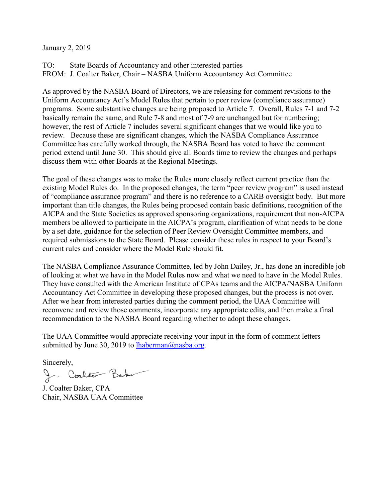January 2, 2019

TO: State Boards of Accountancy and other interested parties FROM: J. Coalter Baker, Chair – NASBA Uniform Accountancy Act Committee

As approved by the NASBA Board of Directors, we are releasing for comment revisions to the Uniform Accountancy Act's Model Rules that pertain to peer review (compliance assurance) programs. Some substantive changes are being proposed to Article 7. Overall, Rules 7-1 and 7-2 basically remain the same, and Rule 7-8 and most of 7-9 are unchanged but for numbering; however, the rest of Article 7 includes several significant changes that we would like you to review. Because these are significant changes, which the NASBA Compliance Assurance Committee has carefully worked through, the NASBA Board has voted to have the comment period extend until June 30. This should give all Boards time to review the changes and perhaps discuss them with other Boards at the Regional Meetings.

The goal of these changes was to make the Rules more closely reflect current practice than the existing Model Rules do. In the proposed changes, the term "peer review program" is used instead of "compliance assurance program" and there is no reference to a CARB oversight body. But more important than title changes, the Rules being proposed contain basic definitions, recognition of the AICPA and the State Societies as approved sponsoring organizations, requirement that non-AICPA members be allowed to participate in the AICPA's program, clarification of what needs to be done by a set date, guidance for the selection of Peer Review Oversight Committee members, and required submissions to the State Board. Please consider these rules in respect to your Board's current rules and consider where the Model Rule should fit.

The NASBA Compliance Assurance Committee, led by John Dailey, Jr., has done an incredible job of looking at what we have in the Model Rules now and what we need to have in the Model Rules. They have consulted with the American Institute of CPAs teams and the AICPA/NASBA Uniform Accountancy Act Committee in developing these proposed changes, but the process is not over. After we hear from interested parties during the comment period, the UAA Committee will reconvene and review those comments, incorporate any appropriate edits, and then make a final recommendation to the NASBA Board regarding whether to adopt these changes.

The UAA Committee would appreciate receiving your input in the form of comment letters submitted by June 30, 2019 to  $\underline{\text{haberman}(Q)}$  nasba.org.

Sincerely,<br>J. Coalite Baby

J. Coalter Baker, CPA Chair, NASBA UAA Committee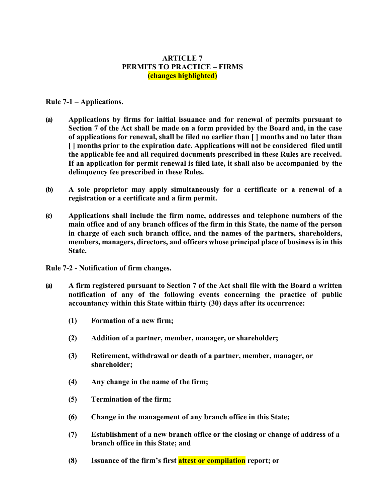# **ARTICLE 7 PERMITS TO PRACTICE – FIRMS (changes highlighted)**

# **Rule 7-1 – Applications.**

- **(a) Applications by firms for initial issuance and for renewal of permits pursuant to Section 7 of the Act shall be made on a form provided by the Board and, in the case of applications for renewal, shall be filed no earlier than [ ] months and no later than [ ] months prior to the expiration date. Applications will not be considered filed until the applicable fee and all required documents prescribed in these Rules are received. If an application for permit renewal is filed late, it shall also be accompanied by the delinquency fee prescribed in these Rules.**
- **(b) A sole proprietor may apply simultaneously for a certificate or a renewal of a registration or a certificate and a firm permit.**
- **(c) Applications shall include the firm name, addresses and telephone numbers of the main office and of any branch offices of the firm in this State, the name of the person in charge of each such branch office, and the names of the partners, shareholders, members, managers, directors, and officers whose principal place of business is in this State.**

**Rule 7-2 - Notification of firm changes.**

- **(a) A firm registered pursuant to Section 7 of the Act shall file with the Board a written notification of any of the following events concerning the practice of public accountancy within this State within thirty (30) days after its occurrence:**
	- **(1) Formation of a new firm;**
	- **(2) Addition of a partner, member, manager, or shareholder;**
	- **(3) Retirement, withdrawal or death of a partner, member, manager, or shareholder;**
	- **(4) Any change in the name of the firm;**
	- **(5) Termination of the firm;**
	- **(6) Change in the management of any branch office in this State;**
	- **(7) Establishment of a new branch office or the closing or change of address of a branch office in this State; and**
	- **(8) Issuance of the firm's first attest or compilation report; or**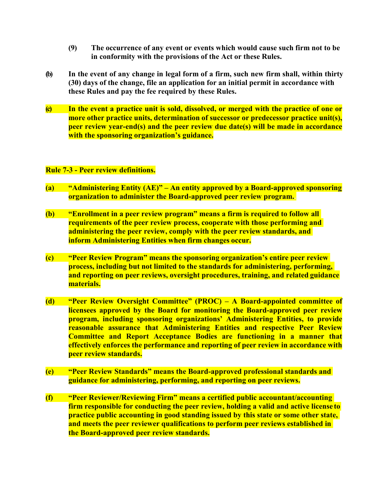- **(9) The occurrence of any event or events which would cause such firm not to be in conformity with the provisions of the Act or these Rules.**
- **(b) In the event of any change in legal form of a firm, such new firm shall, within thirty (30) days of the change, file an application for an initial permit in accordance with these Rules and pay the fee required by these Rules.**
- **(c) In the event a practice unit is sold, dissolved, or merged with the practice of one or more other practice units, determination of successor or predecessor practice unit(s), peer review year-end(s) and the peer review due date(s) will be made in accordance with the sponsoring organization's guidance.**

## **Rule 7-3 - Peer review definitions.**

- **(a) "Administering Entity (AE)" – An entity approved by a Board-approved sponsoring organization to administer the Board-approved peer review program..**
- **(b) "Enrollment in a peer review program" means a firm is required to follow all requirements of the peer review process, cooperate with those performing and administering the peer review, comply with the peer review standards, and inform Administering Entities when firm changes occur.**
- **(c) "Peer Review Program" means the sponsoring organization's entire peer review process, including but not limited to the standards for administering, performing, and reporting on peer reviews, oversight procedures, training, and related guidance materials.**
- **(d) "Peer Review Oversight Committee" (PROC) – A Board-appointed committee of licensees approved by the Board for monitoring the Board-approved peer review program, including sponsoring organizations' Administering Entities, to provide reasonable assurance that Administering Entities and respective Peer Review Committee and Report Acceptance Bodies are functioning in a manner that effectively enforces the performance and reporting of peer review in accordance with peer review standards.**
- **(e) "Peer Review Standards" means the Board-approved professional standards and guidance for administering, performing, and reporting on peer reviews.**
- **(f) "Peer Reviewer/Reviewing Firm" means a certified public accountant/accounting firm responsible for conducting the peer review, holding a valid and active license to practice public accounting in good standing issued by this state or some other state, and meets the peer reviewer qualifications to perform peer reviews established in the Board-approved peer review standards.**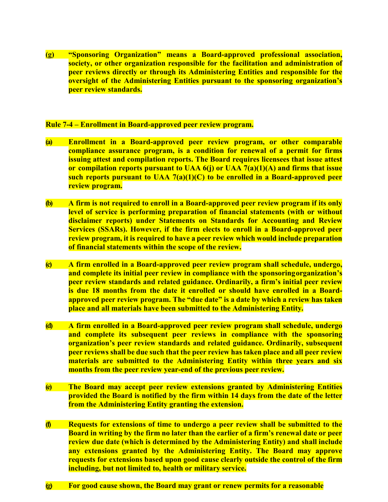**(g) "Sponsoring Organization" means a Board-approved professional association, society, or other organization responsible for the facilitation and administration of peer reviews directly or through its Administering Entities and responsible for the oversight of the Administering Entities pursuant to the sponsoring organization's peer review standards.**

## **Rule 7-4 – Enrollment in Board-approved peer review program.**

- **(a) Enrollment in a Board-approved peer review program, or other comparable compliance assurance program, is a condition for renewal of a permit for firms issuing attest and compilation reports. The Board requires licensees that issue attest or compilation reports pursuant to UAA 6(j) or UAA 7(a)(1)(A) and firms that issue such reports pursuant to UAA 7(a)(1)(C) to be enrolled in a Board-approved peer review program.**
- **(b) A firm is not required to enroll in a Board-approved peer review program if its only level of service is performing preparation of financial statements (with or without disclaimer reports) under Statements on Standards for Accounting and Review Services (SSARs). However, if the firm elects to enroll in a Board-approved peer review program, it is required to have a peer review which would include preparation of financial statements within the scope of the review.**
- **(c) A firm enrolled in a Board-approved peer review program shall schedule, undergo, and complete its initial peer review in compliance with the sponsoringorganization's peer review standards and related guidance. Ordinarily, a firm's initial peer review is due 18 months from the date it enrolled or should have enrolled in a Boardapproved peer review program. The "due date" is a date by which a review has taken place and all materials have been submitted to the Administering Entity.**
- **(d) A firm enrolled in a Board-approved peer review program shall schedule, undergo and complete its subsequent peer reviews in compliance with the sponsoring organization's peer review standards and related guidance. Ordinarily, subsequent peer reviews shall be due such that the peer review has taken place and all peer review materials are submitted to the Administering Entity within three years and six months from the peer review year-end of the previous peer review.**
- **(e) The Board may accept peer review extensions granted by Administering Entities provided the Board is notified by the firm within 14 days from the date of the letter from the Administering Entity granting the extension.**
- **(f) Requests for extensions of time to undergo a peer review shall be submitted to the Board in writing by the firm no later than the earlier of a firm's renewal date or peer review due date (which is determined by the Administering Entity) and shall include any extensions granted by the Administering Entity. The Board may approve requests for extensions based upon good cause clearly outside the control of the firm including, but not limited to, health or military service.**
- **(g) For good cause shown, the Board may grant or renew permits for a reasonable**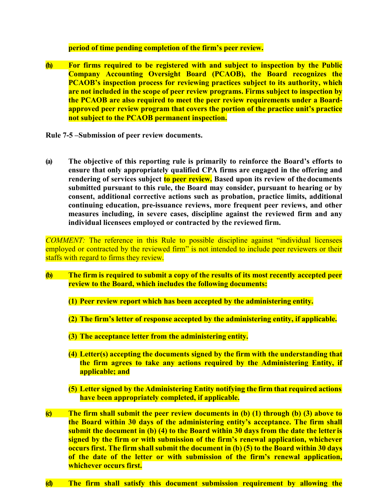#### **period of time pending completion of the firm's peer review.**

**(h) For firms required to be registered with and subject to inspection by the Public Company Accounting Oversight Board (PCAOB), the Board recognizes the PCAOB's inspection process for reviewing practices subject to its authority, which are not included in the scope of peer review programs. Firms subject to inspection by the PCAOB are also required to meet the peer review requirements under a Boardapproved peer review program that covers the portion of the practice unit's practice not subject to the PCAOB permanent inspection.**

**Rule 7-5 –Submission of peer review documents.**

**(a) The objective of this reporting rule is primarily to reinforce the Board's efforts to ensure that only appropriately qualified CPA firms are engaged in the offering and**  rendering of services subject **to peer review.** Based upon its review of the documents **submitted pursuant to this rule, the Board may consider, pursuant to hearing or by consent, additional corrective actions such as probation, practice limits, additional continuing education, pre-issuance reviews, more frequent peer reviews, and other measures including, in severe cases, discipline against the reviewed firm and any individual licensees employed or contracted by the reviewed firm.**

*COMMENT:* The reference in this Rule to possible discipline against "individual licensees employed or contracted by the reviewed firm" is not intended to include peer reviewers or their staffs with regard to firms they review.

- **(b) The firm is required to submit a copy of the results of its most recently accepted peer review to the Board, which includes the following documents:**
	- **(1) Peer review report which has been accepted by the administering entity.**
	- **(2) The firm's letter of response accepted by the administering entity, if applicable.**
	- **(3) The acceptance letter from the administering entity.**
	- **(4) Letter(s) accepting the documents signed by the firm with the understanding that the firm agrees to take any actions required by the Administering Entity, if applicable; and**
	- **(5) Letter signed by the Administering Entity notifying the firm that required actions have been appropriately completed, if applicable.**
- **(c) The firm shall submit the peer review documents in (b) (1) through (b) (3) above to the Board within 30 days of the administering entity's acceptance. The firm shall submit the document in (b) (4) to the Board within 30 days from the date the letter is signed by the firm or with submission of the firm's renewal application, whichever occurs first. The firm shall submit the document in (b) (5) to the Board within 30 days of the date of the letter or with submission of the firm's renewal application, whichever occurs first.**
- **(d) The firm shall satisfy this document submission requirement by allowing the**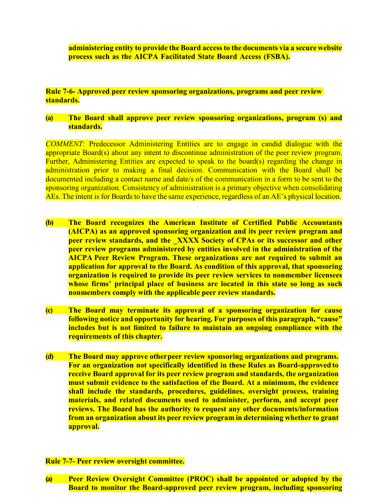**administering entity to provide the Board accessto the documents via a secure website process such as the AICPA Facilitated State Board Access (FSBA).**

**Rule 7-6- Approved peer review sponsoring organizations, programs and peer review standards.**

## **(a) The Board shall approve peer review sponsoring organizations, program (s) and standards.**

*COMMENT:* Predecessor Administering Entities are to engage in candid dialogue with the appropriate Board(s) about any intent to discontinue administration of the peer review program. Further, Administering Entities are expected to speak to the board(s) regarding the change in administration prior to making a final decision. Communication with the Board shall be documented including a contact name and date/s of the communication in a form to be sent to the sponsoring organization. Consistency of administration is a primary objective when consolidating AEs. The intent is for Boards to have the same experience, regardless of an AE's physical location.

- **(b) The Board recognizes the American Institute of Certified Public Accountants (AICPA) as an approved sponsoring organization and its peer review program and peer review standards, and the XXXX Society of CPAs or its successor and other peer review programs administered by entities involved in the administration of the AICPA Peer Review Program. These organizations are not required to submit an application for approval to the Board. As condition of this approval, that sponsoring organization is required to provide its peer review services to nonmember licensees whose firms' principal place of business are located in this state so long as such nonmembers comply with the applicable peer review standards.**
- **(c) The Board may terminate its approval of a sponsoring organization for cause following notice and opportunity for hearing. For purposes of this paragraph, "cause" includes but is not limited to failure to maintain an ongoing compliance with the requirements of this chapter.**
- **(d) The Board may approve otherpeer review sponsoring organizations and programs. For an organization not specifically identified in these Rules as Board-approved to receive Board approval for its peer review program and standards, the organization must submit evidence to the satisfaction of the Board. At a minimum, the evidence shall include the standards, procedures, guidelines, oversight process, training materials, and related documents used to administer, perform, and accept peer reviews. The Board has the authority to request any other documents/information from an organization about its peer review program in determining whether to grant approval.**

# **Rule 7-7- Peer review oversight committee.**

**(a) Peer Review Oversight Committee (PROC) shall be appointed or adopted by the Board to monitor the Board-approved peer review program, including sponsoring**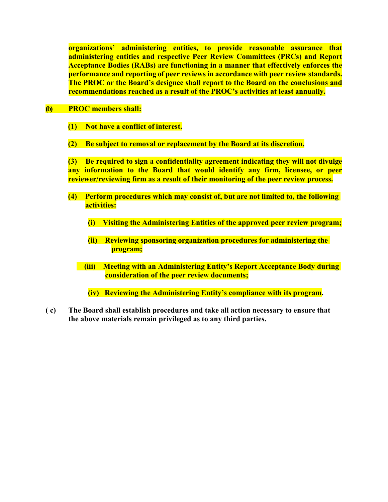**organizations' administering entities, to provide reasonable assurance that administering entities and respective Peer Review Committees (PRCs) and Report Acceptance Bodies (RABs) are functioning in a manner that effectively enforces the performance and reporting of peer reviews in accordance with peer review standards. The PROC or the Board's designee shall report to the Board on the conclusions and recommendations reached as a result of the PROC's activities at least annually.**

## **(b) PROC members shall:**

- **(1) Not have a conflict of interest.**
- **(2) Be subject to removal or replacement by the Board at its discretion.**

**(3) Be required to sign a confidentiality agreement indicating they will not divulge any information to the Board that would identify any firm, licensee, or peer reviewer/reviewing firm as a result of their monitoring of the peer review process.**

- **(4) Perform procedures which may consist of, but are not limited to, the following activities:**
	- **(i) Visiting the Administering Entities of the approved peer review program;**
	- **(ii) Reviewing sponsoring organization procedures for administering the program;**
	- **(iii) Meeting with an Administering Entity's Report Acceptance Body during consideration of the peer review documents;**

**(iv) Reviewing the Administering Entity's compliance with its program.**

**( c) The Board shall establish procedures and take all action necessary to ensure that the above materials remain privileged as to any third parties.**